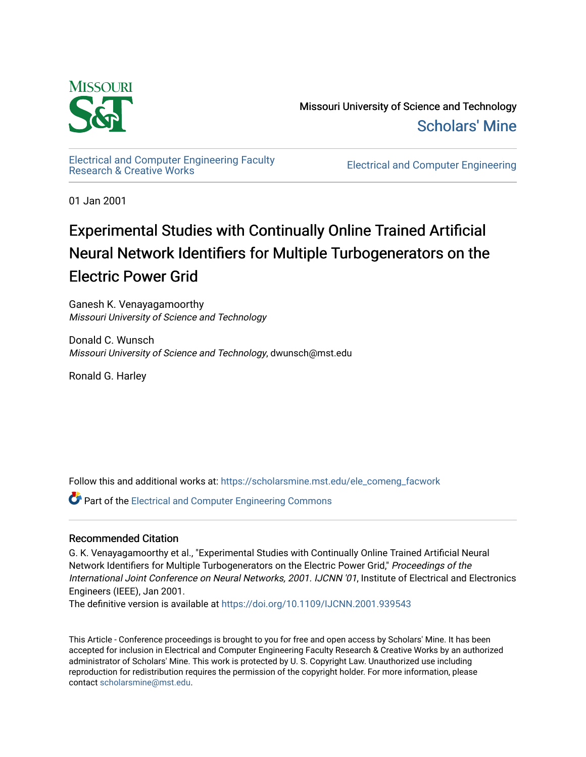

Missouri University of Science and Technology [Scholars' Mine](https://scholarsmine.mst.edu/) 

[Electrical and Computer Engineering Faculty](https://scholarsmine.mst.edu/ele_comeng_facwork)

**Electrical and Computer Engineering** 

01 Jan 2001

# Experimental Studies with Continually Online Trained Artificial Neural Network Identifiers for Multiple Turbogenerators on the Electric Power Grid

Ganesh K. Venayagamoorthy Missouri University of Science and Technology

Donald C. Wunsch Missouri University of Science and Technology, dwunsch@mst.edu

Ronald G. Harley

Follow this and additional works at: [https://scholarsmine.mst.edu/ele\\_comeng\\_facwork](https://scholarsmine.mst.edu/ele_comeng_facwork?utm_source=scholarsmine.mst.edu%2Fele_comeng_facwork%2F1614&utm_medium=PDF&utm_campaign=PDFCoverPages)

**P** Part of the Electrical and Computer Engineering Commons

### Recommended Citation

G. K. Venayagamoorthy et al., "Experimental Studies with Continually Online Trained Artificial Neural Network Identifiers for Multiple Turbogenerators on the Electric Power Grid," Proceedings of the International Joint Conference on Neural Networks, 2001. IJCNN '01, Institute of Electrical and Electronics Engineers (IEEE), Jan 2001.

The definitive version is available at <https://doi.org/10.1109/IJCNN.2001.939543>

This Article - Conference proceedings is brought to you for free and open access by Scholars' Mine. It has been accepted for inclusion in Electrical and Computer Engineering Faculty Research & Creative Works by an authorized administrator of Scholars' Mine. This work is protected by U. S. Copyright Law. Unauthorized use including reproduction for redistribution requires the permission of the copyright holder. For more information, please contact [scholarsmine@mst.edu](mailto:scholarsmine@mst.edu).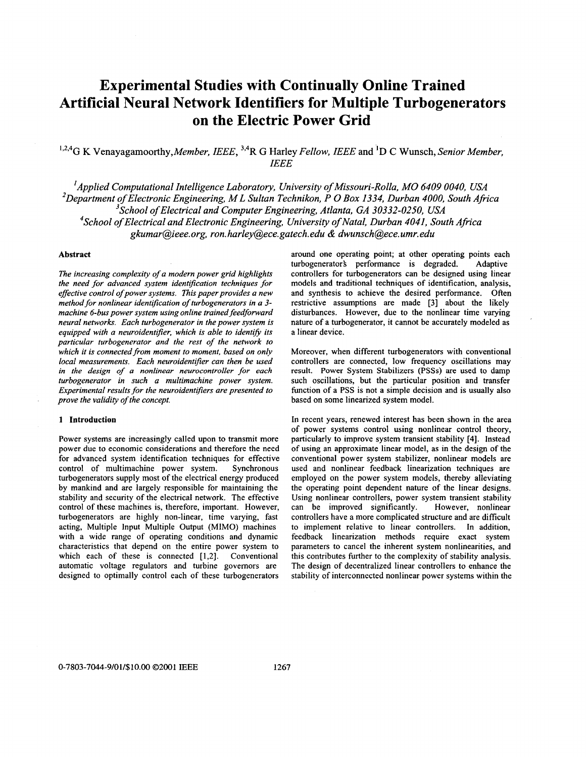## **Experimental Studies with Continually Online Trained Artificial Neural Network Identifiers for Multiple Turbogenerators on the Electric Power Grid**

## **1,2,4G K** *Venayagamoorthy,Member, IEEE,* **3,4R** *G Harley Fellow, IEEE and* **'D** *C Wunsch, Senior Member, IEEE*

*Applied Computational Intelligence Laboratov, University of Missouri-Rolla, MO 6409 0040, USA I*  <sup>2</sup>Department of Electronic Engineering, M L Sultan Technikon, P O Box 1334, Durban 4000, South Africa *3School of Electrical and Computer Engineering, Atlanta, GA 30332-0250, USA 4School of Electrical and Electronic Engineering, University of Natal, Durban 4041, South Africa [gkumar@ieee.org,](mailto:gkumar@ieee.org) ron[. harley@ece.gatech.edu](mailto:harley@ece.gatech.edu)* & *dwunsch@ece. umr. edu* 

#### **Abstract**

*The increasing complexity of a modern power grid highlights the need for advanced system identification techniques for eflective control ofpower systems.* This *paper provides a new method for nonlinear identification of turbogenerators in a 3 machine 6-bus power system using online trained feedfonvard neural networks. Each turbogenerator in the power system is*  equipped with a neuroidentifier, which is able to identify its *particular turbogenerator and the rest of the network to which it is connected from moment to moment, based on only local measurements. Each neuroidentifier can then be used in the design of a nonlinear neurocontroller for each turbogenerator in such a multimachine power system. Experimental results for the neuroidentifiers are presented to prove the validity of the concept.* 

#### **1 Introduction**

Power systems are increasingly called upon to transmit more power due to economic considerations and therefore the need for advanced system identification techniques for effective control of multimachine power system. Synchronous turbogenerators supply most of the electrical energy produced by mankind and are largely responsible for maintaining the stability and security of the electrical network. The effective control of these machines is, therefore, important. However, turbogenerators are highly non-linear, time varying, fast acting, Multiple Input Multiple Output (MIMO) machines with a wide range of operating conditions and dynamic characteristics that depend on the entire power system to which each of these is connected [1,2]. Conventional automatic voltage regulators and turbine governors are designed to optimally control each of these turbogenerators

around one operating point; at other operating points each turbogenerator's performance is degraded. Adaptive controllers for turbogenerators can be designed using linear models and traditional techniques of identification, analysis, and synthesis **to** achieve the desired performance. Often restrictive assumptions are made **[3]** about the likely disturbances. However, due to the nonlinear time varying nature of a turbogenerator, it cannot be accurately modeled as a linear device.

Moreover, when different turbogenerators with conventional controllers are connected, low frequency oscillations may result. Power System Stabilizers (PSSs) are used **to** damp such oscillations, but the particular position and transfer function of a PSS is not a simple decision and is usually also based on some linearized system model.

In recent years, renewed interest has been shown in the area of power systems control using nonlinear control theory, particularly to improve system transient stability **[4].** Instead of using an approximate linear model, as in the design of the conventional power system stabilizer, nonlinear models are used and nonlinear feedback linearization techniques are employed on the power system models, thereby alleviating the operating point dependent nature of the linear designs. Using nonlinear controllers, power system transient stability can be improved significantly. However, nonlinear controllers have a more complicated structure and are difficult to implement relative to linear controllers. In addition, feedback linearization methods require exact system parameters to cancel the inherent system nonlinearities, and this contributes further to the complexity of stability analysis. The design of decentralized linear controllers to enhance the stability of interconnected nonlinear power systems within the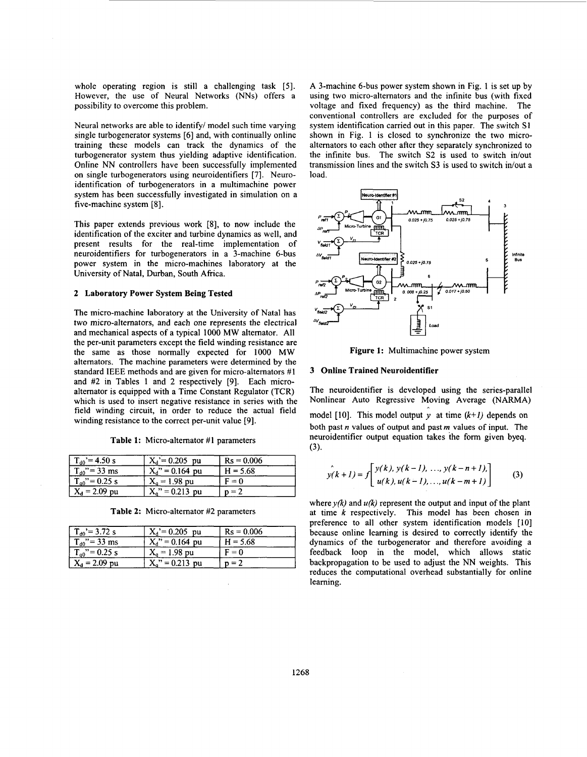whole operating region is still a challenging task [5]. However, the use of Neural Networks (NNs) offers a possibility to overcome this problem.

Neural networks are able to identify/ model such time varying single turbogenerator systems [6] and, with continually online training these models can track the dynamics of the turbogenerator system thus yielding adaptive identification. Online NN controllers have been successfully implemented on single turbogenerators using neuroidentifiers [7]. Neuroidentification of turbogenerators in a multimachine power system has been successfully investigated in simulation on a five-machine system [8].

This paper extends previous work [8], to now include the identification of the exciter and turbine dynamics as well, and present results for the real-time implementation of neuroidentifiers for turbogenerators in a 3-machine 6-bus power system in the micro-machines laboratory at the University of Natal, Durban, South Africa.

#### **2 Laboratory Power System Being Tested**

The micro-machine laboratory at the University of Natal has two micro-alternators, and each one represents the electrical and mechanical aspects of a typical 1000 MW altemator. All the per-unit parameters except the field winding resistance are the same as those normally expected for 1000 MW altemators. The machine parameters were determined by the standard IEEE methods and are given for micro-alternators #I and #2 in Tables 1 and 2 respectively [9]. Each microalternator is equipped with a Time Constant Regulator (TCR) which is used to insert negative resistance in series with the field winding circuit, in order to reduce the actual field winding resistance to the correct per-unit value [9].

|  | Table 1: Micro-alternator #1 parameters |  |
|--|-----------------------------------------|--|
|--|-----------------------------------------|--|

| $T_{d0}$ '= 4.50 s | $X_d = 0.205$ pu   | $Rs = 0.006$ |
|--------------------|--------------------|--------------|
| $T_{d0}$ " = 33 ms | $X_d$ " = 0.164 pu | $H = 5.68$   |
| $T_{q0}$ "= 0.25 s | $X_{0} = 1.98$ pu  | $F = 0$      |
| $X_d = 2.09$ pu    | $X_q$ " = 0.213 pu | $n = 2$      |

| $T_{d0}$ '= 3.72 s  | $X_d = 0.205$ pu   | $Rs = 0.006$ |
|---------------------|--------------------|--------------|
| $T_{d0}$ " = 33 ms  | $X_d$ " = 0.164 pu | $H = 5.68$   |
| $T_{q0}$ " = 0.25 s | $X_a = 1.98$ pu    | $F = 0$      |
| $X_d = 2.09$ pu     | $X_0$ " = 0.213 pu | $n = 2$      |

**Table 2:** Micro-altemator **#2** parameters

A 3-machine 6-bus power system shown in Fig. 1 is set up by using two micro-alternators and the infinite bus (with fixed voltage and fixed frequency) as the third machine. The conventional controllers are excluded for the purposes of system identification carried out in this paper. The switch **S1**  shown in Fig. 1 is closed to synchronize the two microalternators to each other after they separately synchronized to the infinite bus. The switch S2 is used to switch in/out transmission lines and the switch S3 is used to switch in/out a load.



**Figure 1:** Multimachine power system

#### **3 Online Trained Neuroidentifier**

The neuroidentifier is developed using the series-parallel Nonlinear Auto Regressive Moving Average (NARMA) model [10]. This model output  $y$  at time  $(k+1)$  depends on both past *n* values of output and past *m* values of input. The neuroidentifier output equation takes the form given byeq. (3).

$$
y(k+1) = f\left[\begin{array}{c} y(k), y(k-1), ..., y(k-n+1), \\ u(k), u(k-1), ..., u(k-m+1) \end{array}\right]
$$
(3)

where  $y(k)$  and  $u(k)$  represent the output and input of the plant at time *k* respectively. This model has been chosen in preference to all other system identification models [ **101**  because online learning is desired to correctly identify the dynamics of the turbogenerator and therefore avoiding a feedback loop in the model, which allows static backpropagation to be used to adjust the NN weights. This reduces the computational overhead substantially for online learning.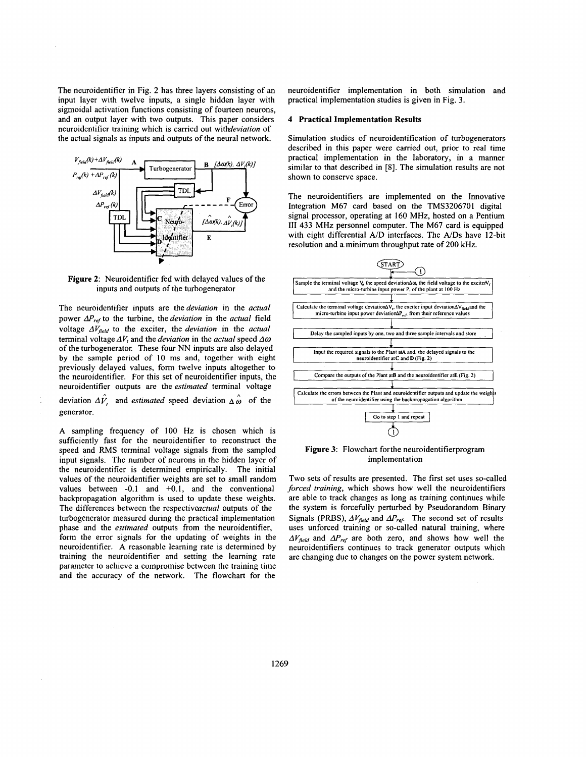The neuroidentifier in Fig. 2 has three layers consisting of an input layer with twelve inputs, a single hidden layer with sigmoidal activation functions consisting of fourteen neurons, and an output layer with two outputs. This paper considers neuroidentifier training which is carried out withdeviation of the actual signals as inputs and outputs of the neural network.



**Figure 2:** Neuroidentifier fed with delayed values of the inputs and outputs of the turbogenerator

The neuroidentifier inputs are the *deviation* in the *actual* power  $\Delta P_{ref}$  to the turbine, the *deviation* in the *actual* field voltage  $\Delta V_{field}$  to the exciter, the *deviation* in the *actual* terminal voltage  $\Delta V_t$  and the *deviation* in the *actual* speed  $\Delta \omega$ of the turbogenerator. These four NN inputs are also delayed by the sample period of 10 ms and, together with eight previously delayed values, form twelve inputs altogether to the neuroidentifier. For this set **of** neuroidentifier inputs, the neuroidentifier outputs are the estimated terminal voltage

deviation  $\Delta V$  and *estimated* speed deviation  $\Delta \hat{\omega}$  of the generator.

**A** sampling frequency of 100 Hz is chosen which is sufficiently fast for the neuroidentifier to reconstruct the speed and RMS terminal voltage signals from the sampled input signals. The number **of** neurons in the hidden layer of the neuroidentifier is determined empirically. The initial values of the neuroidentifier weights are set to small random values between -0.1 and +0.1, and the conventional backpropagation algorithm is used to update these weights. The differences between the respectiveactual outputs of the turbogenerator measured during the practical implementation phase and the estimated outputs from the neuroidentifier, form the error signals for the updating of weights in the neuroidentifier. **A** reasonable learning rate is determined by training the neuroidentifier and setting the learning rate parameter to achieve a compromise between the training time and the accuracy of the network. The flowchart for the

neuroidentifier implementation in both simulation and practical implementation studies is given in Fig. 3.

#### **4 Practical Implementation Results**

Simulation studies of neuroidentification of turbogenerators described in this paper were carried out, prior to real time practical implementation in the laboratory, in a manner similar to that described in **[SI.** The simulation results are not shown to conserve space.

The neuroidentifiers are implemented on the Innovative Integration M67 card based on the TMS3206701 digital signal processor, operating at 160 MHz, hosted on a Pentium **111** 433 MHz personnel computer. The M67 card is equipped with eight differential **A/D** interfaces. The *NDs* have 12-bit resolution and a minimum throughput rate of 200 kHz.



**Figure 3:** Flowchart forthe neuroidentifierprogram implementation

Two sets of results are presented. The first set uses so-called forced training, which shows how well the neuroidentifiers are able to track changes as long as training continues while the system is forcefully perturbed by Pseudorandom Binary Signals (PRBS),  $\Delta V_{field}$  and  $\Delta P_{ref}$ . The second set of results uses unforced training or so-called natural training, where  $\Delta V_{field}$  and  $\Delta P_{ref}$  are both zero, and shows how well the neuroidentifiers continues to track generator outputs which are changing due to changes on the power system network.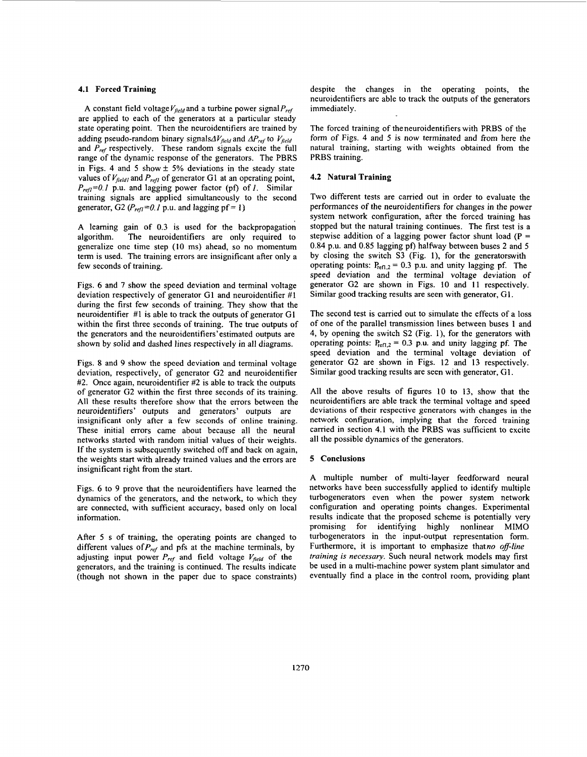#### **4.1 Forced Training**

A constant field voltage  $V_{field}$  and a turbine power signal  $P_{ref}$ are applied to each of the generators at a particular steady state operating point. Then the neuroidentifiers are trained by adding pseudo-random binary signals $\Delta V_{field}$  and  $\Delta P_{ref}$  to  $V_{field}$ and *P<sub>ref</sub>* respectively. These random signals excite the full range of the dynamic response of the generators. The PBRS in Figs. 4 and 5 show  $\pm$  5% deviations in the steady state values of  $V_{field}$  and  $P_{refl}$  of generator G1 at an operating point,  $P_{refl}$ =0.1 p.u. and lagging power factor (pf) of *1*. Similar training signals are applied simultaneously to the second generator, *G2* ( $P_{refl} = 0.1$  p.u. and lagging pf = 1)

A leaming gain of **0.3** is used for the backpropagation algorithm. The neuroidentifiers are only required to generalize one time step (10 ms) ahead, so no momentum term is used. The training errors are insignificant after only a few seconds of training.

Figs. 6 and **7** show the speed deviation and terminal voltage deviation respectively of generator GI and neuroidentifier #I during the first few seconds of training. They show that the neuroidentifier #1 is able to track the outputs of generator G1 within the first three seconds of training. The true outputs of the generators and the neuroidentifiers'estimated outputs are shown by solid and dashed lines respectively in all diagrams.

Figs. 8 and **9** show the speed deviation and terminal voltage deviation, respectively, of generator G2 and neuroidentifier **#2.** Once again, neuroidentifier **#2** is able to track the outputs of generator G2 within the first three seconds of its training. All these results therefore show that the errors between the neuroidentifiers' outputs and generators' outputs are insignificant only after a few seconds **of** online training. These initial errors came about because all the neural networks started with random initial values of their weights. If the system is subsequently switched off and back on again, the weights start with already trained values and the errors are insignificant right from the start.

Figs. 6 to 9 prove that the neuroidentifiers have leamed the dynamics of the generators, and the network, to which they are connected, with sufficient accuracy, based only on local information.

After **5** s of training, the operating points are changed to different values of  $P_{ref}$  and pfs at the machine terminals, by adjusting input power  $P_{ref}$  and field voltage  $V_{field}$  of the generators, and the training is continued. The results indicate (though not shown in the paper due to space constraints) despite the changes in the operating points, the neuroidentifiers are able to track the outputs of the generators immediately.

The forced training of theneuroidentifiers with PRBS of the form of Figs. **4** and **5** is now terminated and from here the natural training, starting with weights obtained from the PRBS training.

#### **4.2 Natural Training**

Two different tests are carried out in order to evaluate the performances of the neuroidentifiers for changes in the power system network configuration, after the forced training has stopped but the natural training continues. The first test is a stepwise addition of a lagging power factor shunt load ( $P =$ **0.84** p.u. and **0.85** lagging pf) halfway between buses **2** and **5**  by closing the switch S3 (Fig. I), for the generatorswith operating points:  $P_{refl,2} = 0.3$  p.u. and unity lagging pf. The speed deviation and the terminal voltage deviation of generator G2 are shown in Figs. **10** and 11 respectively. Similar good tracking results are seen with generator, GI.

The second test is carried out to simulate the effects of a loss of one of the parallel transmission lines between buses **1** and **4,** by opening the switch S2 (Fig. I), for the generators with operating points:  $P_{refl,2} = 0.3$  p.u. and unity lagging pf. The speed deviation and the terminal voltage deviation of generator G2 are shown in Figs. 12 and 13 respectively. Similar good tracking results are seen with generator, GI.

All the above results of figures 10 to 13, show that the neuroidentifiers are able track the terminal voltage and speed deviations of their respective generators with changes in the network configuration, implying that the forced training carried in section **4.1** with the PRBS was sufficient to excite all the possible dynamics of the generators.

#### **5 Conclusions**

A multiple number **of** multi-layer feedforward neural networks have been successfully applied to identify multiple turbogenerators even when the power system network configuration and operating points changes. Experimental results indicate that the proposed scheme is potentially very promising for identifying highly nonlinear MIMO turbogenerators in the input-output representation form. Furthermore, it is important to emphasize thatno off-line training is necessary. Such neural network models may first be used in a multi-machine power system plant simulator and eventually find a place in the control room, providing plant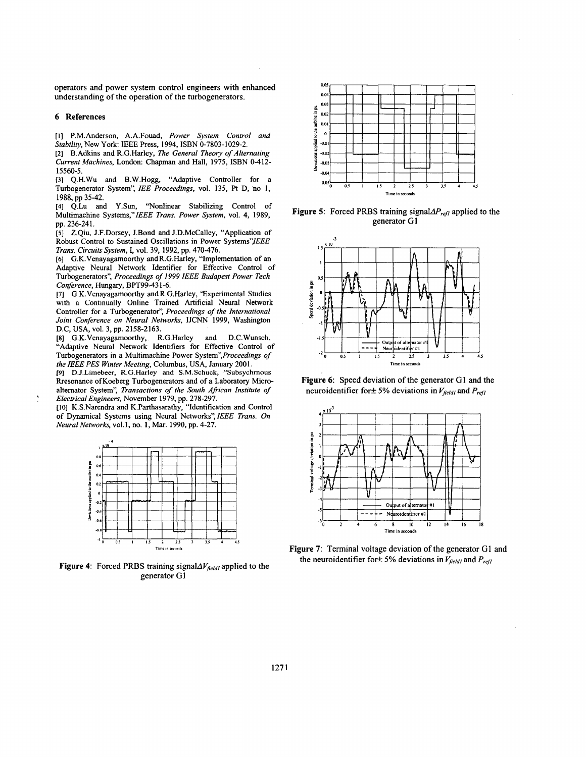operators and power system control engineers with enhanced understanding of the operation of the turbogenerators.

#### **6 References**

**[I]** P.M.Anderson, A.A.Fouad, Power System Control and Stability, New York: IEEE Press, 1994, ISBN 0-7803-1029-2.

**[2]** B.Adkins and R.G.Harley, The General Theory of Alternating Current Machines, London: Chapman and Hall, 1975, ISBN 0-412- 15560-5.

[3] Q.H.Wu and B.W.Hogg, "Adaptive Controller for a Turbogenerator System", IEE Proceedings, vol. 135, Pt D, no **1,**  1988, pp 35-42.

**[4]** Q.Lu and **Y.Sun,** "Nonlinear Stabilizing Control of Multimachine Systems,"IEEE Trans. Power System, vol. **4,** 1989, pp. 236-241.

*[5]* Z.Qiu, J.F.Dorsey, J.Bond and J.D.McCalley, "Application of Robust Control to Sustained Oscillations in Power Systems" JEEE Trans. Circuits System, I, vol. 39, 1992, pp. 470-476.

**[6]** G.K.Venayagamoorthy and R.G.Harley, "Implementation of an Adaptive Neural Network Identifier for Effective Control of Turbogenerators", Proceedings *of I999* IEEE Budapest Power Tech Conference, Hungary, BPT99-43 1-6.

**[7]** G.K.Venayagamoorthy and R.G.Harley, 'Experimental Studies with a Continually Online Trained Artificial Neural Network Controller for a Turbogenerator", Proceedings of the International Joint Conference on Neural Networks, IJCNN 1999, Washington D.C, USA, vol. 3, pp. 2158-2163.

*[8]* -G.K.Venayagamoorthy, R.G.Harley and D.C.Wunsch, "Adaptive Neural Network Identifiers for Effective Control of Turbogenerators in a Multimachine Power System",Proceedings *of*  the IEEE PES Winter Meeting, Columbus, USA, January 2001.

**[9]** D.J.Limebeer, R.G.Harley **and** S.M.Schuck, 'Subsychmous Rresonance ofKoeberg Turbogenerators and of a Laboratory Microaltemator System", Transactions of the South African Institute of Electrical Engineers, November 1979, pp. 278-297.

[ **101** K.S.Narendra and K.Parthasarathy, "Identification and Control of Dynamical Systems using Neural Networks", IEEE Trans. *On*  Neural Networks, vol. 1, no. **1,** Mar. 1990, pp. 4-27.



**Figure 4:** Forced PRBS training signal $\Delta V_{field}$  applied to the generator G1



**Figure 5:** Forced PRBS training signal $\Delta P_{refl}$  applied to the generator **G1** 



Figure 6: Speed deviation of the generator G1 and the neuroidentifier for  $\pm$  5% deviations in  $V_{field}$  and  $P_{refl}$ 



**Figure 7:** Terminal voltage deviation of the generator G1 and the neuroidentifier for  $\pm$  5% deviations in  $V_{field}$  and  $P_{refl}$